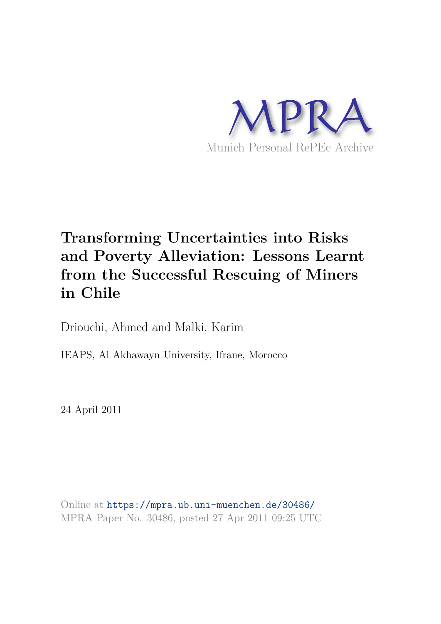

# **Transforming Uncertainties into Risks and Poverty Alleviation: Lessons Learnt from the Successful Rescuing of Miners in Chile**

Driouchi, Ahmed and Malki, Karim

IEAPS, Al Akhawayn University, Ifrane, Morocco

24 April 2011

Online at https://mpra.ub.uni-muenchen.de/30486/ MPRA Paper No. 30486, posted 27 Apr 2011 09:25 UTC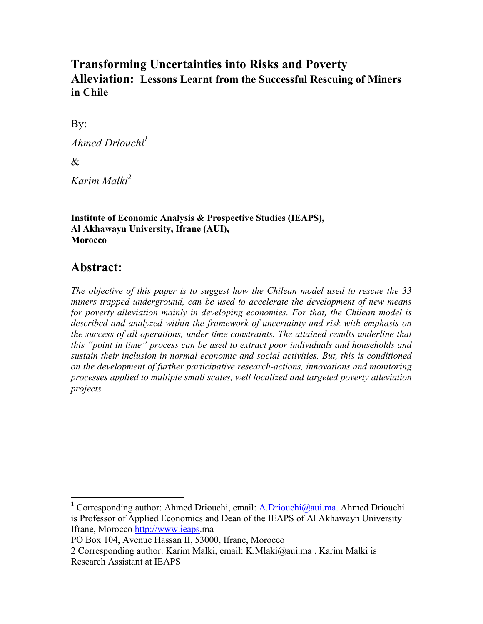# **Transforming Uncertainties into Risks and Poverty Alleviation: Lessons Learnt from the Successful Rescuing of Miners** in Chile

By:

Ahmed Driouchi<sup>1</sup>

 $\mathcal{R}_{\mathcal{L}}$ 

Karim Malki<sup>2</sup>

**Institute of Economic Analysis & Prospective Studies (IEAPS),** Al Akhawayn University, Ifrane (AUI), **Morocco** 

# Abstract:

The objective of this paper is to suggest how the Chilean model used to rescue the 33 miners trapped underground, can be used to accelerate the development of new means for poverty alleviation mainly in developing economies. For that, the Chilean model is described and analyzed within the framework of uncertainty and risk with emphasis on the success of all operations, under time constraints. The attained results underline that this "point in time" process can be used to extract poor individuals and households and sustain their inclusion in normal economic and social activities. But, this is conditioned on the development of further participative research-actions, innovations and monitoring processes applied to multiple small scales, well localized and targeted poverty alleviation projects.

<sup>&</sup>lt;sup>1</sup> Corresponding author: Ahmed Driouchi, email: A.Driouchi@aui.ma. Ahmed Driouchi is Professor of Applied Economics and Dean of the IEAPS of Al Akhawayn University Ifrane, Morocco http://www.ieaps.ma

PO Box 104, Avenue Hassan II, 53000, Ifrane, Morocco

<sup>2</sup> Corresponding author: Karim Malki, email: K.Mlaki@aui.ma. Karim Malki is **Research Assistant at IEAPS**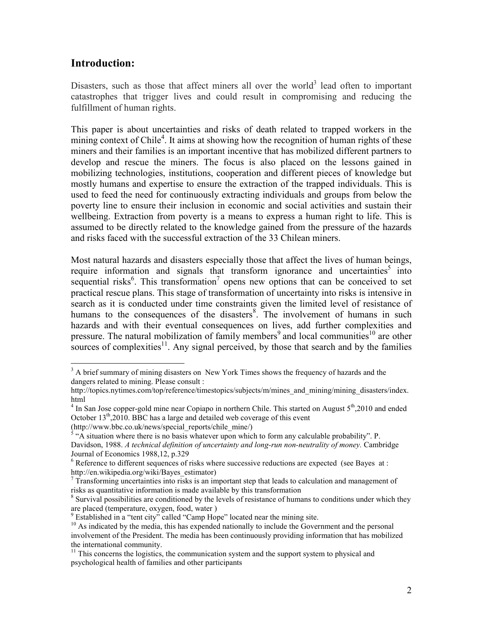### **Introduction:**

Disasters, such as those that affect miners all over the world<sup>3</sup> lead often to important catastrophes that trigger lives and could result in compromising and reducing the fulfillment of human rights.

This paper is about uncertainties and risks of death related to trapped workers in the mining context of Chile<sup>4</sup>. It aims at showing how the recognition of human rights of these miners and their families is an important incentive that has mobilized different partners to develop and rescue the miners. The focus is also placed on the lessons gained in mobilizing technologies, institutions, cooperation and different pieces of knowledge but mostly humans and expertise to ensure the extraction of the trapped individuals. This is used to feed the need for continuously extracting individuals and groups from below the poverty line to ensure their inclusion in economic and social activities and sustain their wellbeing. Extraction from poverty is a means to express a human right to life. This is assumed to be directly related to the knowledge gained from the pressure of the hazards and risks faced with the successful extraction of the 33 Chilean miners.

Most natural hazards and disasters especially those that affect the lives of human beings. require information and signals that transform ignorance and uncertainties<sup>5</sup> into sequential risks<sup>6</sup>. This transformation<sup>7</sup> opens new options that can be conceived to set practical rescue plans. This stage of transformation of uncertainty into risks is intensive in search as it is conducted under time constraints given the limited level of resistance of humans to the consequences of the disasters<sup>8</sup>. The involvement of humans in such hazards and with their eventual consequences on lives, add further complexities and pressure. The natural mobilization of family members<sup>9</sup> and local communities<sup>10</sup> are other sources of complexities<sup>11</sup>. Any signal perceived, by those that search and by the families

(http://www.bbc.co.uk/news/special reports/chile mine/)

 $3$  A brief summary of mining disasters on New York Times shows the frequency of hazards and the dangers related to mining. Please consult :

http://topics.nytimes.com/top/reference/timestopics/subjects/m/mines\_and\_mining/mining\_disasters/index. html

 $4 \text{ In San Jose copper-gold mine near Copiapo in northern Chile. This started on August 5<sup>th</sup>,2010 and ended$ October 13<sup>th</sup>,2010. BBC has a large and detailed web coverage of this event

 $5$  "A situation where there is no basis whatever upon which to form any calculable probability". P. Davidson, 1988. A technical definition of uncertainty and long-run non-neutrality of money. Cambridge Journal of Economics 1988, 12, p.329

 $6$  Reference to different sequences of risks where successive reductions are expected (see Bayes at : http://en.wikipedia.org/wiki/Bayes estimator)

 $\frac{7}{7}$  Transforming uncertainties into risks is an important step that leads to calculation and management of risks as quantitative information is made available by this transformation

 $\delta$  Survival possibilities are conditioned by the levels of resistance of humans to conditions under which they are placed (temperature, oxygen, food, water)

<sup>&</sup>lt;sup>9</sup> Established in a "tent city" called "Camp Hope" located near the mining site.

<sup>&</sup>lt;sup>10</sup> As indicated by the media, this has expended nationally to include the Government and the personal involvement of the President. The media has been continuously providing information that has mobilized the international community.

 $11$  This concerns the logistics, the communication system and the support system to physical and psychological health of families and other participants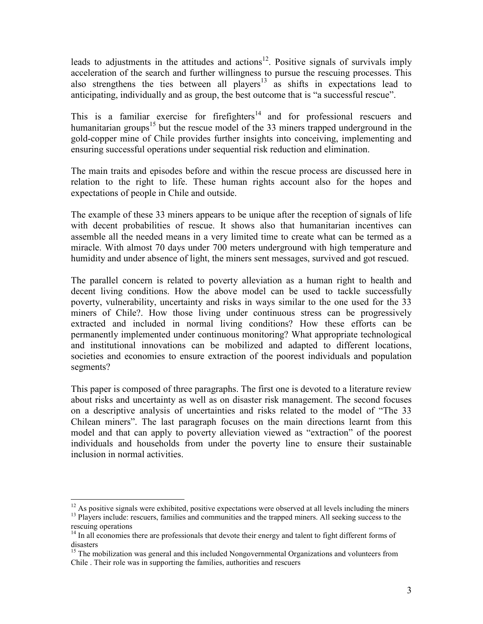leads to adjustments in the attitudes and actions<sup>12</sup>. Positive signals of survivals imply acceleration of the search and further willingness to pursue the rescuing processes. This also strengthens the ties between all players<sup>13</sup> as shifts in expectations lead to anticipating, individually and as group, the best outcome that is "a successful rescue".

This is a familiar exercise for firefighters<sup>14</sup> and for professional rescuers and humanitarian groups<sup>15</sup> but the rescue model of the 33 miners trapped underground in the gold-copper mine of Chile provides further insights into conceiving, implementing and ensuring successful operations under sequential risk reduction and elimination.

The main traits and episodes before and within the rescue process are discussed here in relation to the right to life. These human rights account also for the hopes and expectations of people in Chile and outside.

The example of these 33 miners appears to be unique after the reception of signals of life with decent probabilities of rescue. It shows also that humanitarian incentives can assemble all the needed means in a very limited time to create what can be termed as a miracle. With almost 70 days under 700 meters underground with high temperature and humidity and under absence of light, the miners sent messages, survived and got rescued.

The parallel concern is related to poverty alleviation as a human right to health and decent living conditions. How the above model can be used to tackle successfully poverty, vulnerability, uncertainty and risks in ways similar to the one used for the 33 miners of Chile?. How those living under continuous stress can be progressively extracted and included in normal living conditions? How these efforts can be permanently implemented under continuous monitoring? What appropriate technological and institutional innovations can be mobilized and adapted to different locations, societies and economies to ensure extraction of the poorest individuals and population segments?

This paper is composed of three paragraphs. The first one is devoted to a literature review about risks and uncertainty as well as on disaster risk management. The second focuses on a descriptive analysis of uncertainties and risks related to the model of "The 33 Chilean miners". The last paragraph focuses on the main directions learnt from this model and that can apply to poverty alleviation viewed as "extraction" of the poorest individuals and households from under the poverty line to ensure their sustainable inclusion in normal activities.

 $12$  As positive signals were exhibited, positive expectations were observed at all levels including the miners <sup>13</sup> Players include: rescuers, families and communities and the trapped miners. All seeking success to the rescuing operations

<sup>&</sup>lt;sup>14</sup> In all economies there are professionals that devote their energy and talent to fight different forms of disasters

<sup>&</sup>lt;sup>15</sup> The mobilization was general and this included Nongovernmental Organizations and volunteers from Chile. Their role was in supporting the families, authorities and rescuers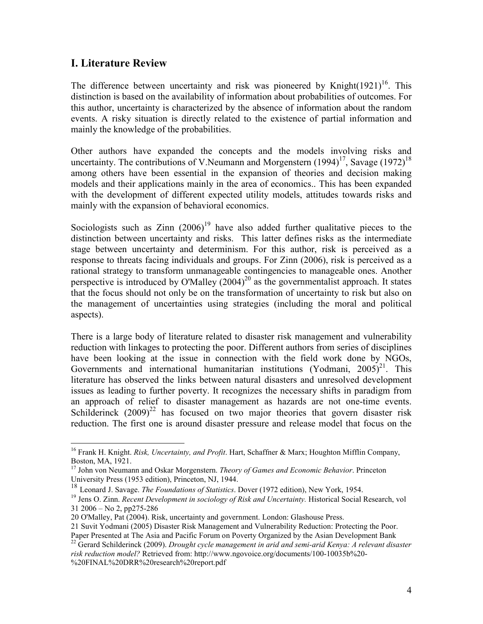# **I. Literature Review**

The difference between uncertainty and risk was pioneered by Knight $(1921)^{16}$ . This distinction is based on the availability of information about probabilities of outcomes. For this author, uncertainty is characterized by the absence of information about the random events. A risky situation is directly related to the existence of partial information and mainly the knowledge of the probabilities.

Other authors have expanded the concepts and the models involving risks and uncertainty. The contributions of V.Neumann and Morgenstern  $(1994)^{17}$ , Savage  $(1972)^{18}$ among others have been essential in the expansion of theories and decision making models and their applications mainly in the area of economics.. This has been expanded with the development of different expected utility models, attitudes towards risks and mainly with the expansion of behavioral economics.

Sociologists such as  $\text{Zinn}$  (2006)<sup>19</sup> have also added further qualitative pieces to the distinction between uncertainty and risks. This latter defines risks as the intermediate stage between uncertainty and determinism. For this author, risk is perceived as a response to threats facing individuals and groups. For Zinn (2006), risk is perceived as a rational strategy to transform unmanageable contingencies to manageable ones. Another perspective is introduced by O'Malley  $(2004)^{20}$  as the governmentalist approach. It states that the focus should not only be on the transformation of uncertainty to risk but also on the management of uncertainties using strategies (including the moral and political aspects).

There is a large body of literature related to disaster risk management and vulnerability reduction with linkages to protecting the poor. Different authors from series of disciplines have been looking at the issue in connection with the field work done by NGOs, Governments and international humanitarian institutions (Yodmani,  $2005)^{21}$ . This literature has observed the links between natural disasters and unresolved development issues as leading to further poverty. It recognizes the necessary shifts in paradigm from an approach of relief to disaster management as hazards are not one-time events. Schilderinck  $(2009)^{22}$  has focused on two major theories that govern disaster risk reduction. The first one is around disaster pressure and release model that focus on the

<sup>&</sup>lt;sup>16</sup> Frank H. Knight. Risk, Uncertainty, and Profit. Hart, Schaffner & Marx; Houghton Mifflin Company, Boston, MA, 1921.

<sup>&</sup>lt;sup>17</sup> John von Neumann and Oskar Morgenstern. *Theory of Games and Economic Behavior*. Princeton University Press (1953 edition), Princeton, NJ, 1944.

<sup>&</sup>lt;sup>18</sup> Leonard J. Savage. The Foundations of Statistics. Dover (1972 edition), New York, 1954.

<sup>&</sup>lt;sup>19</sup> Jens O. Zinn. *Recent Development in sociology of Risk and Uncertainty*. Historical Social Research, vol  $31\,2006 -$ No 2, pp275-286

<sup>20</sup> O'Malley, Pat (2004). Risk, uncertainty and government. London: Glashouse Press.

<sup>21</sup> Suvit Yodmani (2005) Disaster Risk Management and Vulnerability Reduction: Protecting the Poor.

Paper Presented at The Asia and Pacific Forum on Poverty Organized by the Asian Development Bank  $^{22}$  Gerard Schilderinck (2009). Drought cycle management in arid and semi-arid Kenya: A relevant disaster risk reduction model? Retrieved from: http://www.ngovoice.org/documents/100-10035b%20-

<sup>%20</sup>FINAL%20DRR%20research%20report.pdf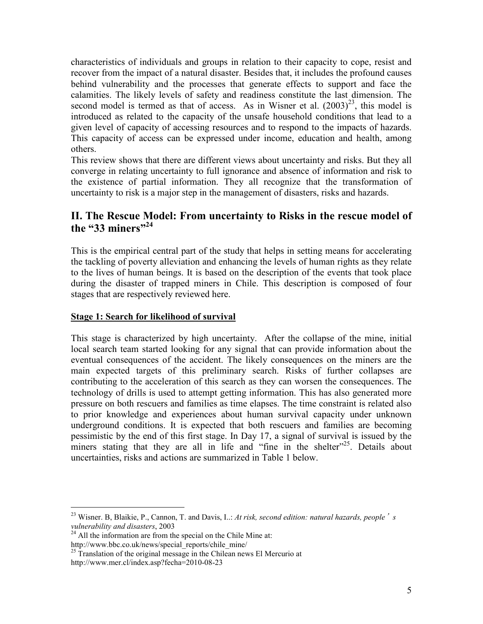characteristics of individuals and groups in relation to their capacity to cope, resist and recover from the impact of a natural disaster. Besides that, it includes the profound causes behind vulnerability and the processes that generate effects to support and face the calamities. The likely levels of safety and readiness constitute the last dimension. The second model is termed as that of access. As in Wisner et al.  $(2003)^{23}$ , this model is introduced as related to the capacity of the unsafe household conditions that lead to a given level of capacity of accessing resources and to respond to the impacts of hazards. This capacity of access can be expressed under income, education and health, among others.

This review shows that there are different views about uncertainty and risks. But they all converge in relating uncertainty to full ignorance and absence of information and risk to the existence of partial information. They all recognize that the transformation of uncertainty to risk is a major step in the management of disasters, risks and hazards.

# II. The Rescue Model: From uncertainty to Risks in the rescue model of the "33 miners"<sup>24</sup>

This is the empirical central part of the study that helps in setting means for accelerating the tackling of poverty alleviation and enhancing the levels of human rights as they relate to the lives of human beings. It is based on the description of the events that took place during the disaster of trapped miners in Chile. This description is composed of four stages that are respectively reviewed here.

#### **Stage 1: Search for likelihood of survival**

This stage is characterized by high uncertainty. After the collapse of the mine, initial local search team started looking for any signal that can provide information about the eventual consequences of the accident. The likely consequences on the miners are the main expected targets of this preliminary search. Risks of further collapses are contributing to the acceleration of this search as they can worsen the consequences. The technology of drills is used to attempt getting information. This has also generated more pressure on both rescuers and families as time elapses. The time constraint is related also to prior knowledge and experiences about human survival capacity under unknown underground conditions. It is expected that both rescuers and families are becoming pessimistic by the end of this first stage. In Day 17, a signal of survival is issued by the miners stating that they are all in life and "fine in the shelter"<sup>25</sup>. Details about uncertainties, risks and actions are summarized in Table 1 below.

<sup>&</sup>lt;sup>23</sup> Wisner, B, Blaikie, P., Cannon, T. and Davis, I..: At risk, second edition: natural hazards, people  $\dot{\ }$  s vulnerability and disasters, 2003

<sup>&</sup>lt;sup>24</sup> All the information are from the special on the Chile Mine at: http://www.bbc.co.uk/news/special reports/chile mine/

<sup>&</sup>lt;sup>25</sup> Translation of the original message in the Chilean news El Mercurio at http://www.mer.cl/index.asp?fecha=2010-08-23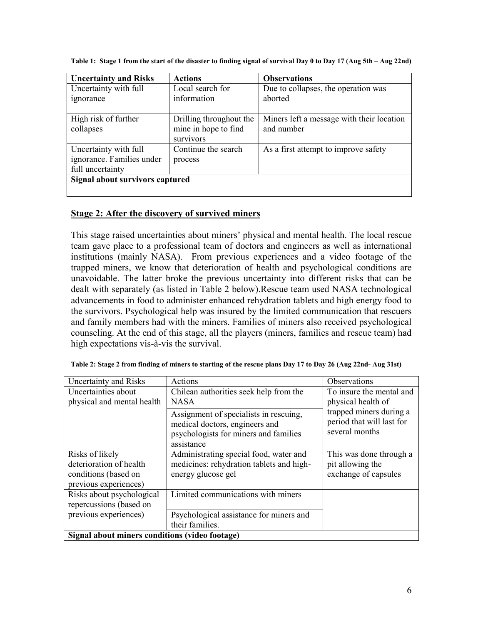| <b>Uncertainty and Risks</b>    | <b>Actions</b>          | <b>Observations</b>                       |  |
|---------------------------------|-------------------------|-------------------------------------------|--|
| Uncertainty with full           | Local search for        | Due to collapses, the operation was       |  |
| <i>s</i> 1gnorance              | information             | aborted                                   |  |
|                                 |                         |                                           |  |
| High risk of further            | Drilling throughout the | Miners left a message with their location |  |
| collapses                       | mine in hope to find    | and number                                |  |
|                                 | survivors               |                                           |  |
| Uncertainty with full           | Continue the search     | As a first attempt to improve safety      |  |
| ignorance. Families under       | process                 |                                           |  |
| full uncertainty                |                         |                                           |  |
| Signal about survivors captured |                         |                                           |  |
|                                 |                         |                                           |  |

Table 1: Stage 1 from the start of the disaster to finding signal of survival Day 0 to Day 17 (Aug 5th – Aug 22nd)

#### Stage 2: After the discovery of survived miners

This stage raised uncertainties about miners' physical and mental health. The local rescue team gave place to a professional team of doctors and engineers as well as international institutions (mainly NASA). From previous experiences and a video footage of the trapped miners, we know that deterioration of health and psychological conditions are unavoidable. The latter broke the previous uncertainty into different risks that can be dealt with separately (as listed in Table 2 below). Rescue team used NASA technological advancements in food to administer enhanced rehydration tablets and high energy food to the survivors. Psychological help was insured by the limited communication that rescuers and family members had with the miners. Families of miners also received psychological counseling. At the end of this stage, all the players (miners, families and rescue team) had high expectations vis-à-vis the survival.

| Uncertainty and Risks                          | Actions                                                                                                                         | Observations                                                           |  |
|------------------------------------------------|---------------------------------------------------------------------------------------------------------------------------------|------------------------------------------------------------------------|--|
| Uncertainties about                            | Chilean authorities seek help from the                                                                                          | To insure the mental and                                               |  |
| physical and mental health                     | <b>NASA</b>                                                                                                                     | physical health of                                                     |  |
|                                                | Assignment of specialists in rescuing,<br>medical doctors, engineers and<br>psychologists for miners and families<br>assistance | trapped miners during a<br>period that will last for<br>several months |  |
| Risks of likely                                | Administrating special food, water and                                                                                          | This was done through a                                                |  |
| deterioration of health                        | medicines: rehydration tablets and high-                                                                                        | pit allowing the                                                       |  |
| conditions (based on                           | energy glucose gel                                                                                                              | exchange of capsules                                                   |  |
| previous experiences)                          |                                                                                                                                 |                                                                        |  |
| Risks about psychological                      | Limited communications with miners                                                                                              |                                                                        |  |
| repercussions (based on                        |                                                                                                                                 |                                                                        |  |
| previous experiences)                          | Psychological assistance for miners and                                                                                         |                                                                        |  |
|                                                | their families.                                                                                                                 |                                                                        |  |
| Signal about miners conditions (video footage) |                                                                                                                                 |                                                                        |  |

Table 2: Stage 2 from finding of miners to starting of the rescue plans Day 17 to Day 26 (Aug 22nd-Aug 31st)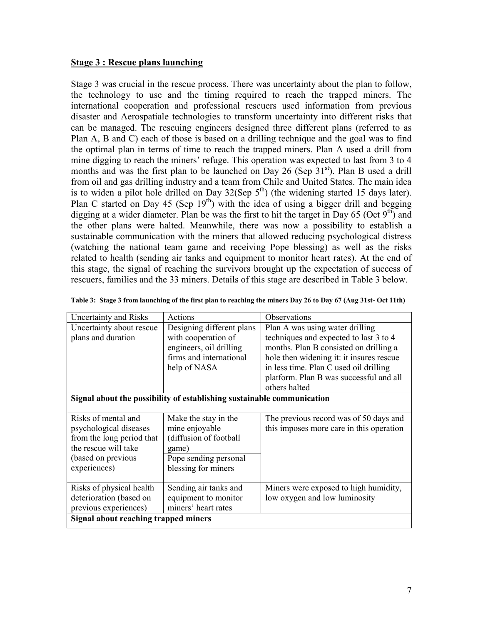#### **Stage 3: Rescue plans launching**

Stage 3 was crucial in the rescue process. There was uncertainty about the plan to follow, the technology to use and the timing required to reach the trapped miners. The international cooperation and professional rescuers used information from previous disaster and Aerospatiale technologies to transform uncertainty into different risks that can be managed. The rescuing engineers designed three different plans (referred to as Plan A, B and C) each of those is based on a drilling technique and the goal was to find the optimal plan in terms of time to reach the trapped miners. Plan A used a drill from mine digging to reach the miners' refuge. This operation was expected to last from 3 to 4 months and was the first plan to be launched on Day 26 (Sep 31<sup>st</sup>). Plan B used a drill from oil and gas drilling industry and a team from Chile and United States. The main idea is to widen a pilot hole drilled on Day  $32(Sep 5<sup>th</sup>)$  (the widening started 15 days later). Plan C started on Day 45 (Sep  $19<sup>th</sup>$ ) with the idea of using a bigger drill and begging digging at a wider diameter. Plan be was the first to hit the target in Day 65 (Oct  $9<sup>th</sup>$ ) and the other plans were halted. Meanwhile, there was now a possibility to establish a sustainable communication with the miners that allowed reducing psychological distress (watching the national team game and receiving Pope blessing) as well as the risks related to health (sending air tanks and equipment to monitor heart rates). At the end of this stage, the signal of reaching the survivors brought up the expectation of success of rescuers, families and the 33 miners. Details of this stage are described in Table 3 below.

| Uncertainty and Risks                                                  | Actions                   | <b>Observations</b>                      |  |  |
|------------------------------------------------------------------------|---------------------------|------------------------------------------|--|--|
| Uncertainty about rescue                                               | Designing different plans | Plan A was using water drilling          |  |  |
| plans and duration                                                     | with cooperation of       | techniques and expected to last 3 to 4   |  |  |
|                                                                        | engineers, oil drilling   | months. Plan B consisted on drilling a   |  |  |
|                                                                        | firms and international   | hole then widening it: it insures rescue |  |  |
|                                                                        | help of NASA              | in less time. Plan C used oil drilling   |  |  |
|                                                                        |                           | platform. Plan B was successful and all  |  |  |
|                                                                        |                           | others halted                            |  |  |
| Signal about the possibility of establishing sustainable communication |                           |                                          |  |  |
|                                                                        |                           |                                          |  |  |
| Risks of mental and                                                    | Make the stay in the      | The previous record was of 50 days and   |  |  |
| psychological diseases                                                 | mine enjoyable            | this imposes more care in this operation |  |  |
| from the long period that                                              | (diffusion of football    |                                          |  |  |
| the rescue will take                                                   | game)                     |                                          |  |  |
| (based on previous                                                     | Pope sending personal     |                                          |  |  |
| experiences)                                                           | blessing for miners       |                                          |  |  |
|                                                                        |                           |                                          |  |  |
| Risks of physical health                                               | Sending air tanks and     | Miners were exposed to high humidity,    |  |  |
| deterioration (based on                                                | equipment to monitor      | low oxygen and low luminosity            |  |  |
| previous experiences)                                                  | miners' heart rates       |                                          |  |  |
| Signal about reaching trapped miners                                   |                           |                                          |  |  |
|                                                                        |                           |                                          |  |  |

|  | Table 3: Stage 3 from launching of the first plan to reaching the miners Day 26 to Day 67 (Aug 31st- Oct 11th) |  |  |
|--|----------------------------------------------------------------------------------------------------------------|--|--|
|  |                                                                                                                |  |  |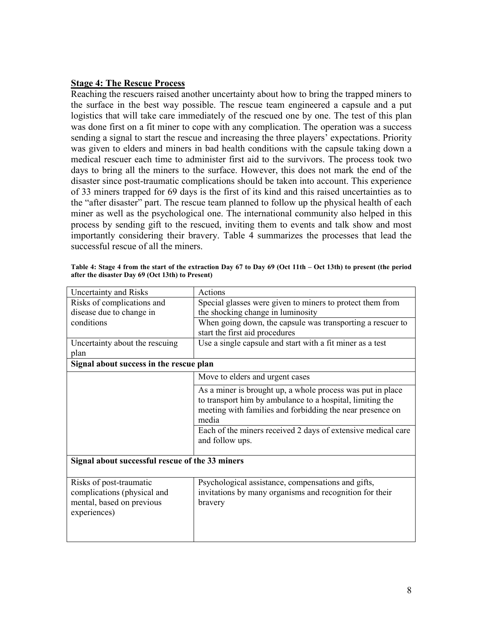#### **Stage 4: The Rescue Process**

Reaching the rescuers raised another uncertainty about how to bring the trapped miners to the surface in the best way possible. The rescue team engineered a capsule and a put logistics that will take care immediately of the rescued one by one. The test of this plan was done first on a fit miner to cope with any complication. The operation was a success sending a signal to start the rescue and increasing the three players' expectations. Priority was given to elders and miners in bad health conditions with the capsule taking down a medical rescuer each time to administer first aid to the survivors. The process took two days to bring all the miners to the surface. However, this does not mark the end of the disaster since post-traumatic complications should be taken into account. This experience of 33 miners trapped for 69 days is the first of its kind and this raised uncertainties as to the "after disaster" part. The rescue team planned to follow up the physical health of each miner as well as the psychological one. The international community also helped in this process by sending gift to the rescued, inviting them to events and talk show and most importantly considering their bravery. Table 4 summarizes the processes that lead the successful rescue of all the miners.

| <b>Uncertainty and Risks</b>                                                                        | <b>Actions</b>                                                                                                                                                                                |
|-----------------------------------------------------------------------------------------------------|-----------------------------------------------------------------------------------------------------------------------------------------------------------------------------------------------|
| Risks of complications and                                                                          | Special glasses were given to miners to protect them from                                                                                                                                     |
| disease due to change in                                                                            | the shocking change in luminosity                                                                                                                                                             |
| conditions                                                                                          | When going down, the capsule was transporting a rescuer to                                                                                                                                    |
|                                                                                                     | start the first aid procedures                                                                                                                                                                |
| Uncertainty about the rescuing                                                                      | Use a single capsule and start with a fit miner as a test                                                                                                                                     |
| plan                                                                                                |                                                                                                                                                                                               |
| Signal about success in the rescue plan                                                             |                                                                                                                                                                                               |
|                                                                                                     | Move to elders and urgent cases                                                                                                                                                               |
|                                                                                                     | As a miner is brought up, a whole process was put in place<br>to transport him by ambulance to a hospital, limiting the<br>meeting with families and forbidding the near presence on<br>media |
|                                                                                                     | Each of the miners received 2 days of extensive medical care<br>and follow ups.                                                                                                               |
| Signal about successful rescue of the 33 miners                                                     |                                                                                                                                                                                               |
| Risks of post-traumatic<br>complications (physical and<br>mental, based on previous<br>experiences) | Psychological assistance, compensations and gifts,<br>invitations by many organisms and recognition for their<br>bravery                                                                      |

Table 4: Stage 4 from the start of the extraction Day 67 to Day 69 (Oct 11th – Oct 13th) to present (the period after the disaster Day 69 (Oct 13th) to Present)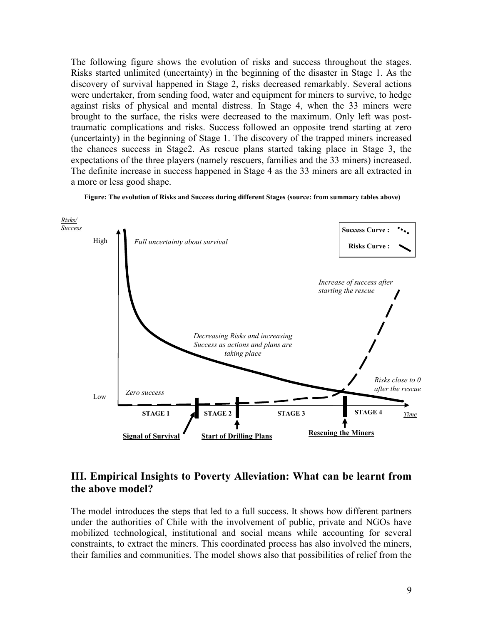The following figure shows the evolution of risks and success throughout the stages. Risks started unlimited (uncertainty) in the beginning of the disaster in Stage 1. As the discovery of survival happened in Stage 2, risks decreased remarkably. Several actions were undertaker, from sending food, water and equipment for miners to survive, to hedge against risks of physical and mental distress. In Stage 4, when the 33 miners were brought to the surface, the risks were decreased to the maximum. Only left was posttraumatic complications and risks. Success followed an opposite trend starting at zero (uncertainty) in the beginning of Stage 1. The discovery of the trapped miners increased the chances success in Stage2. As rescue plans started taking place in Stage 3, the expectations of the three players (namely rescuers, families and the 33 miners) increased. The definite increase in success happened in Stage 4 as the 33 miners are all extracted in a more or less good shape.





# III. Empirical Insights to Poverty Alleviation: What can be learnt from the above model?

The model introduces the steps that led to a full success. It shows how different partners under the authorities of Chile with the involvement of public, private and NGOs have mobilized technological, institutional and social means while accounting for several constraints, to extract the miners. This coordinated process has also involved the miners, their families and communities. The model shows also that possibilities of relief from the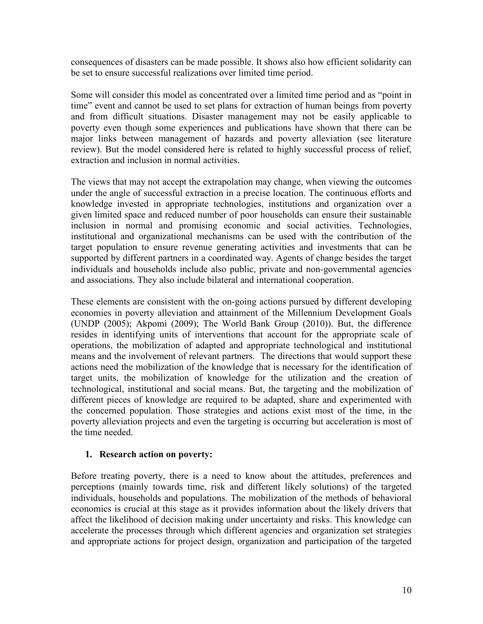consequences of disasters can be made possible. It shows also how efficient solidarity can be set to ensure successful realizations over limited time period.

Some will consider this model as concentrated over a limited time period and as "point in time" event and cannot be used to set plans for extraction of human beings from poverty and from difficult situations. Disaster management may not be easily applicable to poverty even though some experiences and publications have shown that there can be major links between management of hazards and poverty alleviation (see literature review). But the model considered here is related to highly successful process of relief, extraction and inclusion in normal activities.

The views that may not accept the extrapolation may change, when viewing the outcomes under the angle of successful extraction in a precise location. The continuous efforts and knowledge invested in appropriate technologies, institutions and organization over a given limited space and reduced number of poor households can ensure their sustainable inclusion in normal and promising economic and social activities. Technologies, institutional and organizational mechanisms can be used with the contribution of the target population to ensure revenue generating activities and investments that can be supported by different partners in a coordinated way. Agents of change besides the target individuals and households include also public, private and non-governmental agencies and associations. They also include bilateral and international cooperation.

These elements are consistent with the on-going actions pursued by different developing economies in poverty alleviation and attainment of the Millennium Development Goals (UNDP (2005); Akpomi (2009); The World Bank Group (2010)). But, the difference resides in identifying units of interventions that account for the appropriate scale of operations, the mobilization of adapted and appropriate technological and institutional means and the involvement of relevant partners. The directions that would support these actions need the mobilization of the knowledge that is necessary for the identification of target units, the mobilization of knowledge for the utilization and the creation of technological, institutional and social means. But, the targeting and the mobilization of different pieces of knowledge are required to be adapted, share and experimented with the concerned population. Those strategies and actions exist most of the time, in the poverty alleviation projects and even the targeting is occurring but acceleration is most of the time needed

#### 1. Research action on poverty:

Before treating poverty, there is a need to know about the attitudes, preferences and perceptions (mainly towards time, risk and different likely solutions) of the targeted individuals, households and populations. The mobilization of the methods of behavioral economics is crucial at this stage as it provides information about the likely drivers that affect the likelihood of decision making under uncertainty and risks. This knowledge can accelerate the processes through which different agencies and organization set strategies and appropriate actions for project design, organization and participation of the targeted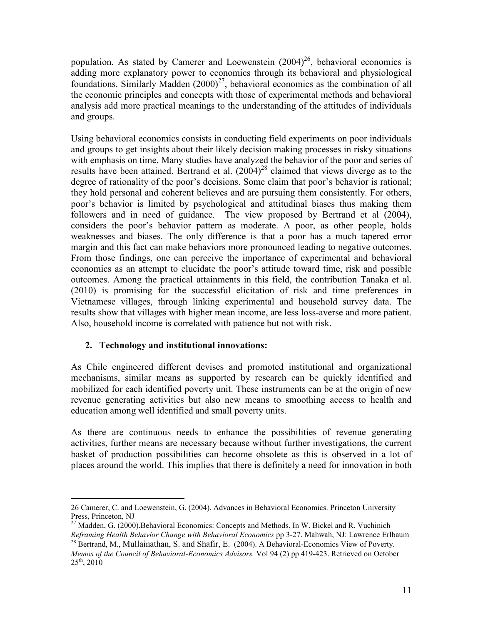population. As stated by Camerer and Loewenstein  $(2004)^{26}$ , behavioral economics is adding more explanatory power to economics through its behavioral and physiological foundations. Similarly Madden  $(2000)^{27}$ , behavioral economics as the combination of all the economic principles and concepts with those of experimental methods and behavioral analysis add more practical meanings to the understanding of the attitudes of individuals and groups.

Using behavioral economics consists in conducting field experiments on poor individuals and groups to get insights about their likely decision making processes in risky situations with emphasis on time. Many studies have analyzed the behavior of the poor and series of results have been attained. Bertrand et al.  $(2004)^{28}$  claimed that views diverge as to the degree of rationality of the poor's decisions. Some claim that poor's behavior is rational; they hold personal and coherent believes and are pursuing them consistently. For others, poor's behavior is limited by psychological and attitudinal biases thus making them followers and in need of guidance. The view proposed by Bertrand et al (2004), considers the poor's behavior pattern as moderate. A poor, as other people, holds weaknesses and biases. The only difference is that a poor has a much tapered error margin and this fact can make behaviors more pronounced leading to negative outcomes. From those findings, one can perceive the importance of experimental and behavioral economics as an attempt to elucidate the poor's attitude toward time, risk and possible outcomes. Among the practical attainments in this field, the contribution Tanaka et al. (2010) is promising for the successful elicitation of risk and time preferences in Vietnamese villages, through linking experimental and household survey data. The results show that villages with higher mean income, are less loss-averse and more patient. Also, household income is correlated with patience but not with risk.

#### 2. Technology and institutional innovations:

As Chile engineered different devises and promoted institutional and organizational mechanisms, similar means as supported by research can be quickly identified and mobilized for each identified poverty unit. These instruments can be at the origin of new revenue generating activities but also new means to smoothing access to health and education among well identified and small poverty units.

As there are continuous needs to enhance the possibilities of revenue generating activities, further means are necessary because without further investigations, the current basket of production possibilities can become obsolete as this is observed in a lot of places around the world. This implies that there is definitely a need for innovation in both

<sup>26</sup> Camerer, C. and Loewenstein, G. (2004). Advances in Behavioral Economics. Princeton University Press, Princeton, NJ

 $^{27}$  Madden, G. (2000). Behavioral Economics: Concepts and Methods. In W. Bickel and R. Vuchinich Reframing Health Behavior Change with Behavioral Economics pp 3-27. Mahwah, NJ: Lawrence Erlbaum

<sup>&</sup>lt;sup>28</sup> Bertrand, M., Mullainathan, S. and Shafir, E. (2004). A Behavioral-Economics View of Poverty. Memos of the Council of Behavioral-Economics Advisors. Vol 94 (2) pp 419-423. Retrieved on October  $25^{th}$ ,  $2010$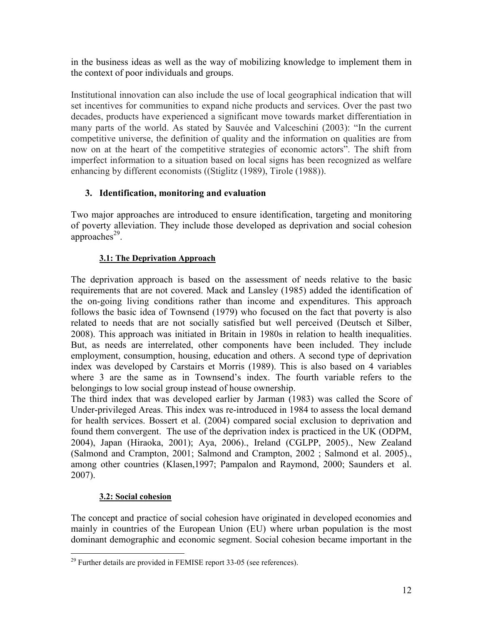in the business ideas as well as the way of mobilizing knowledge to implement them in the context of poor individuals and groups.

Institutional innovation can also include the use of local geographical indication that will set incentives for communities to expand niche products and services. Over the past two decades, products have experienced a significant move towards market differentiation in many parts of the world. As stated by Sauvée and Valceschini (2003): "In the current competitive universe, the definition of quality and the information on qualities are from now on at the heart of the competitive strategies of economic actors". The shift from imperfect information to a situation based on local signs has been recognized as welfare enhancing by different economists ((Stiglitz (1989), Tirole (1988)).

# 3. Identification, monitoring and evaluation

Two major approaches are introduced to ensure identification, targeting and monitoring of poverty alleviation. They include those developed as deprivation and social cohesion approaches<sup>29</sup>.

# 3.1: The Deprivation Approach

The deprivation approach is based on the assessment of needs relative to the basic requirements that are not covered. Mack and Lansley (1985) added the identification of the on-going living conditions rather than income and expenditures. This approach follows the basic idea of Townsend (1979) who focused on the fact that poverty is also related to needs that are not socially satisfied but well perceived (Deutsch et Silber, 2008). This approach was initiated in Britain in 1980s in relation to health inequalities. But, as needs are interrelated, other components have been included. They include employment, consumption, housing, education and others. A second type of deprivation index was developed by Carstairs et Morris (1989). This is also based on 4 variables where 3 are the same as in Townsend's index. The fourth variable refers to the belongings to low social group instead of house ownership.

The third index that was developed earlier by Jarman (1983) was called the Score of Under-privileged Areas. This index was re-introduced in 1984 to assess the local demand for health services. Bossert et al. (2004) compared social exclusion to deprivation and found them convergent. The use of the deprivation index is practiced in the UK (ODPM, 2004), Japan (Hiraoka, 2001); Aya, 2006)., Ireland (CGLPP, 2005)., New Zealand (Salmond and Crampton, 2001; Salmond and Crampton, 2002; Salmond et al. 2005)., among other countries (Klasen, 1997; Pampalon and Raymond, 2000; Saunders et al.  $2007$ ).

# 3.2: Social cohesion

The concept and practice of social cohesion have originated in developed economies and mainly in countries of the European Union (EU) where urban population is the most dominant demographic and economic segment. Social cohesion became important in the

 $^{29}$  Further details are provided in FEMISE report 33-05 (see references).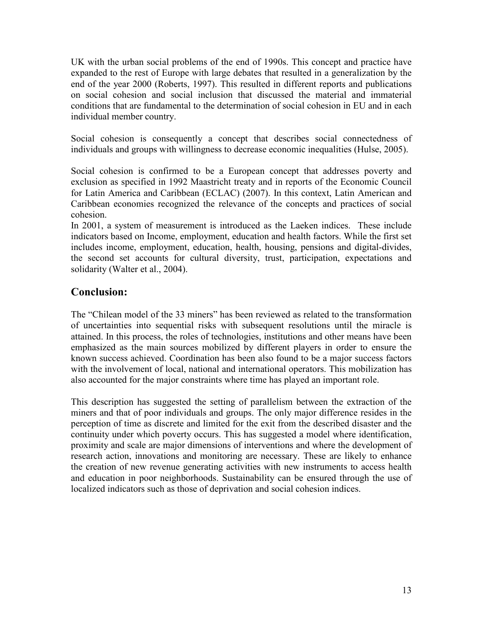UK with the urban social problems of the end of 1990s. This concept and practice have expanded to the rest of Europe with large debates that resulted in a generalization by the end of the year 2000 (Roberts, 1997). This resulted in different reports and publications on social cohesion and social inclusion that discussed the material and immaterial conditions that are fundamental to the determination of social cohesion in EU and in each individual member country.

Social cohesion is consequently a concept that describes social connectedness of individuals and groups with willingness to decrease economic inequalities (Hulse, 2005).

Social cohesion is confirmed to be a European concept that addresses poverty and exclusion as specified in 1992 Maastricht treaty and in reports of the Economic Council for Latin America and Caribbean (ECLAC) (2007). In this context, Latin American and Caribbean economies recognized the relevance of the concepts and practices of social cohesion

In 2001, a system of measurement is introduced as the Laeken indices. These include indicators based on Income, employment, education and health factors. While the first set includes income, employment, education, health, housing, pensions and digital-divides, the second set accounts for cultural diversity, trust, participation, expectations and solidarity (Walter et al., 2004).

# **Conclusion:**

The "Chilean model of the 33 miners" has been reviewed as related to the transformation of uncertainties into sequential risks with subsequent resolutions until the miracle is attained. In this process, the roles of technologies, institutions and other means have been emphasized as the main sources mobilized by different players in order to ensure the known success achieved. Coordination has been also found to be a major success factors with the involvement of local, national and international operators. This mobilization has also accounted for the major constraints where time has played an important role.

This description has suggested the setting of parallelism between the extraction of the miners and that of poor individuals and groups. The only major difference resides in the perception of time as discrete and limited for the exit from the described disaster and the continuity under which poverty occurs. This has suggested a model where identification, proximity and scale are major dimensions of interventions and where the development of research action, innovations and monitoring are necessary. These are likely to enhance the creation of new revenue generating activities with new instruments to access health and education in poor neighborhoods. Sustainability can be ensured through the use of localized indicators such as those of deprivation and social cohesion indices.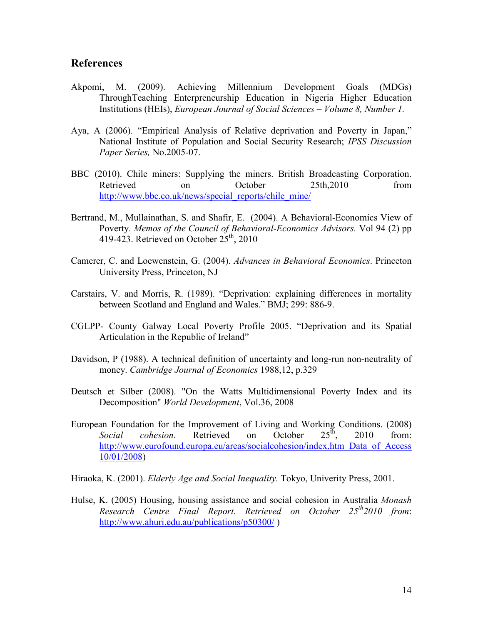### **References**

- Millennium Development Akpomi, M.  $(2009)$ . Achieving Goals  $(MDGs)$ Through Teaching Enterpreneurship Education in Nigeria Higher Education Institutions (HEIs), European Journal of Social Sciences – Volume 8, Number 1.
- Aya, A (2006). "Empirical Analysis of Relative deprivation and Poverty in Japan," National Institute of Population and Social Security Research; IPSS Discussion Paper Series, No.2005-07.
- BBC (2010). Chile miners: Supplying the miners. British Broadcasting Corporation. October 25th, 2010 from Retrieved  $\alpha$ http://www.bbc.co.uk/news/special reports/chile mine/
- Bertrand, M., Mullainathan, S. and Shafir, E. (2004). A Behavioral-Economics View of Poverty. Memos of the Council of Behavioral-Economics Advisors. Vol 94 (2) pp 419-423. Retrieved on October  $25<sup>th</sup>$ , 2010
- Camerer, C. and Loewenstein, G. (2004). Advances in Behavioral Economics. Princeton University Press, Princeton, NJ
- Carstairs, V. and Morris, R. (1989). "Deprivation: explaining differences in mortality between Scotland and England and Wales." BMJ; 299: 886-9.
- CGLPP- County Galway Local Poverty Profile 2005. "Deprivation and its Spatial Articulation in the Republic of Ireland"
- Davidson, P (1988). A technical definition of uncertainty and long-run non-neutrality of money. Cambridge Journal of Economics 1988,12, p.329
- Deutsch et Silber (2008). "On the Watts Multidimensional Poverty Index and its Decomposition" World Development, Vol.36, 2008
- European Foundation for the Improvement of Living and Working Conditions. (2008)  $25^{\text{th}}$ cohesion Retrieved  $\alpha$ October 2010 from: Social http://www.eurofound.europa.eu/areas/socialcohesion/index.htm Data of Access  $10/01/2008$
- Hiraoka, K. (2001). *Elderly Age and Social Inequality*. Tokyo, Univerity Press, 2001.
- Hulse, K. (2005) Housing, housing assistance and social cohesion in Australia Monash Research Centre Final Report. Retrieved on October 25<sup>th</sup>2010 from: http://www.ahuri.edu.au/publications/p50300/)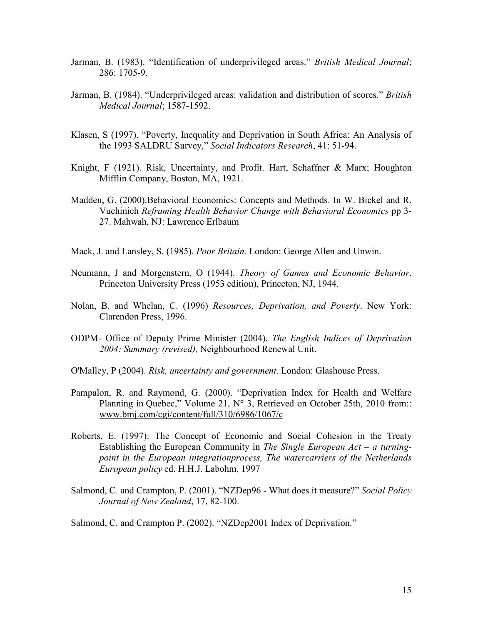- Jarman, B. (1983). "Identification of underprivileged areas." British Medical Journal; 286: 1705-9.
- Jarman, B. (1984). "Underprivileged areas: validation and distribution of scores." British Medical Journal; 1587-1592.
- Klasen, S (1997). "Poverty, Inequality and Deprivation in South Africa: An Analysis of the 1993 SALDRU Survey," Social Indicators Research, 41: 51-94.
- Knight, F (1921). Risk, Uncertainty, and Profit. Hart, Schaffner & Marx; Houghton Mifflin Company, Boston, MA, 1921.
- Madden, G. (2000). Behavioral Economics: Concepts and Methods. In W. Bickel and R. Vuchinich Reframing Health Behavior Change with Behavioral Economics pp 3-27. Mahwah, NJ: Lawrence Erlbaum
- Mack, J. and Lansley, S. (1985). Poor Britain. London: George Allen and Unwin.
- Neumann, J and Morgenstern, O (1944). Theory of Games and Economic Behavior. Princeton University Press (1953 edition), Princeton, NJ, 1944.
- Nolan, B. and Whelan, C. (1996) Resources, Deprivation, and Poverty. New York: Clarendon Press, 1996.
- ODPM- Office of Deputy Prime Minister (2004). The English Indices of Deprivation 2004: Summary (revised), Neighbourhood Renewal Unit.
- O'Malley, P (2004). Risk, uncertainty and government. London: Glashouse Press.
- Pampalon, R. and Raymond, G. (2000). "Deprivation Index for Health and Welfare Planning in Quebec," Volume 21, N° 3, Retrieved on October 25th, 2010 from:: www.bmj.com/cgi/content/full/310/6986/1067/c
- Roberts, E. (1997): The Concept of Economic and Social Cohesion in the Treaty Establishing the European Community in The Single European  $Act - a$  turningpoint in the European integrationprocess, The watercarriers of the Netherlands European policy ed. H.H.J. Labohm, 1997
- Salmond, C. and Crampton, P. (2001). "NZDep96 What does it measure?" Social Policy Journal of New Zealand, 17, 82-100.

Salmond, C. and Crampton P. (2002). "NZDep2001 Index of Deprivation."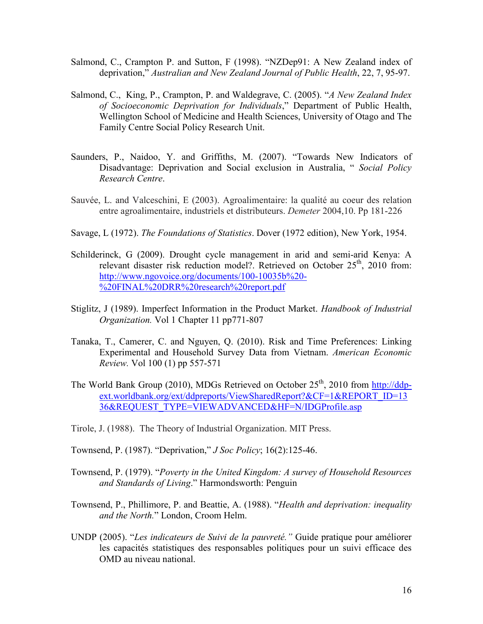- Salmond, C., Crampton P. and Sutton, F (1998). "NZDep91: A New Zealand index of deprivation," Australian and New Zealand Journal of Public Health, 22, 7, 95-97.
- Salmond, C., King, P., Crampton, P. and Waldegrave, C. (2005). "A New Zealand Index of Socioeconomic Deprivation for Individuals," Department of Public Health, Wellington School of Medicine and Health Sciences, University of Otago and The Family Centre Social Policy Research Unit.
- Saunders, P., Naidoo, Y. and Griffiths, M. (2007). "Towards New Indicators of Disadvantage: Deprivation and Social exclusion in Australia, "Social Policy Research Centre.
- Sauvée, L. and Valceschini, E (2003). Agroalimentaire: la qualité au coeur des relation entre agroalimentaire, industriels et distributeurs. Demeter 2004,10. Pp 181-226
- Savage, L (1972). The Foundations of Statistics. Dover (1972 edition), New York, 1954.
- Schilderinck, G (2009). Drought cycle management in arid and semi-arid Kenya: A relevant disaster risk reduction model? Retrieved on October 25<sup>th</sup>, 2010 from: http://www.ngovoice.org/documents/100-10035b%20-%20FINAL%20DRR%20research%20report.pdf
- Stiglitz, J (1989). Imperfect Information in the Product Market. Handbook of Industrial Organization. Vol 1 Chapter 11 pp771-807
- Tanaka, T., Camerer, C. and Nguyen, Q. (2010). Risk and Time Preferences: Linking Experimental and Household Survey Data from Vietnam. American Economic *Review.* Vol 100 (1) pp 557-571
- The World Bank Group (2010), MDGs Retrieved on October 25<sup>th</sup>, 2010 from http://ddpext.worldbank.org/ext/ddpreports/ViewSharedReport?&CF=1&REPORT ID=13 36&REQUEST TYPE=VIEWADVANCED&HF=N/IDGProfile.asp
- Tirole, J. (1988). The Theory of Industrial Organization. MIT Press.
- Townsend, P. (1987). "Deprivation," *J Soc Policy*; 16(2):125-46.
- Townsend, P. (1979). "Poverty in the United Kingdom: A survey of Household Resources and Standards of Living." Harmondsworth: Penguin
- Townsend, P., Phillimore, P. and Beattie, A. (1988). "Health and deprivation: inequality and the North." London, Croom Helm.
- UNDP (2005). "Les indicateurs de Suivi de la pauvreté." Guide pratique pour améliorer les capacités statistiques des responsables politiques pour un suivi efficace des OMD au niveau national.